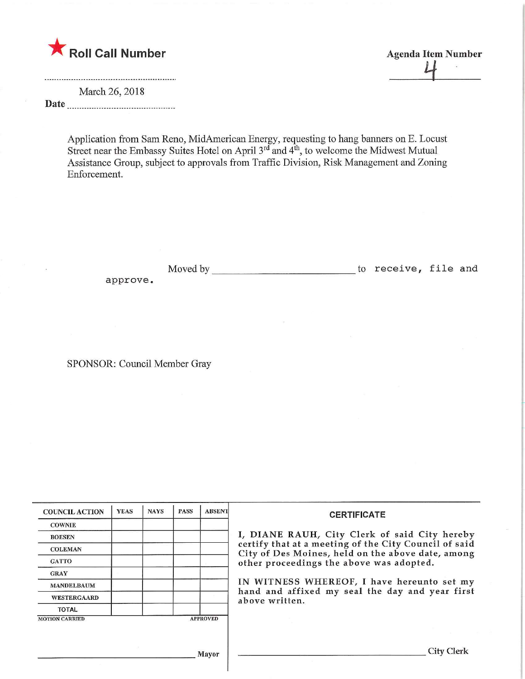

March 26, 2018 Date

Application from Sam Reno, MidAmerican Energy, requesting to hang banners on E. Locust Street near the Embassy Suites Hotel on April  $3^{\alpha}$  and  $4^{\omega}$ , to welcome the Midwest Mutual Assistance Group, subject to approvals from Traffic Division, Risk Management and Zoning Enforcement.

Moved by to receive, file and approve

SPONSOR: Council Member Gray

| <b>COUNCIL ACTION</b> | <b>YEAS</b> | <b>NAYS</b> | <b>PASS</b> | <b>ABSENT</b>   | <b>CERTIFICATE</b><br>I, DIANE RAUH, City Clerk of said City hereby<br>certify that at a meeting of the City Council of said<br>City of Des Moines, held on the above date, among<br>other proceedings the above was adopted.<br>IN WITNESS WHEREOF, I have hereunto set my<br>hand and affixed my seal the day and year first<br>above written. |
|-----------------------|-------------|-------------|-------------|-----------------|--------------------------------------------------------------------------------------------------------------------------------------------------------------------------------------------------------------------------------------------------------------------------------------------------------------------------------------------------|
| <b>COWNIE</b>         |             |             |             |                 |                                                                                                                                                                                                                                                                                                                                                  |
| <b>BOESEN</b>         |             |             |             |                 |                                                                                                                                                                                                                                                                                                                                                  |
| <b>COLEMAN</b>        |             |             |             |                 |                                                                                                                                                                                                                                                                                                                                                  |
| <b>GATTO</b>          |             |             |             |                 |                                                                                                                                                                                                                                                                                                                                                  |
| <b>GRAY</b>           |             |             |             |                 |                                                                                                                                                                                                                                                                                                                                                  |
| <b>MANDELBAUM</b>     |             |             |             |                 |                                                                                                                                                                                                                                                                                                                                                  |
| <b>WESTERGAARD</b>    |             |             |             |                 |                                                                                                                                                                                                                                                                                                                                                  |
| <b>TOTAL</b>          |             |             |             |                 |                                                                                                                                                                                                                                                                                                                                                  |
| <b>MOTION CARRIED</b> |             |             |             | <b>APPROVED</b> |                                                                                                                                                                                                                                                                                                                                                  |
|                       |             |             |             |                 |                                                                                                                                                                                                                                                                                                                                                  |
|                       |             |             |             | Mayor           | City Clerk                                                                                                                                                                                                                                                                                                                                       |

Agenda Item Number<br>|-